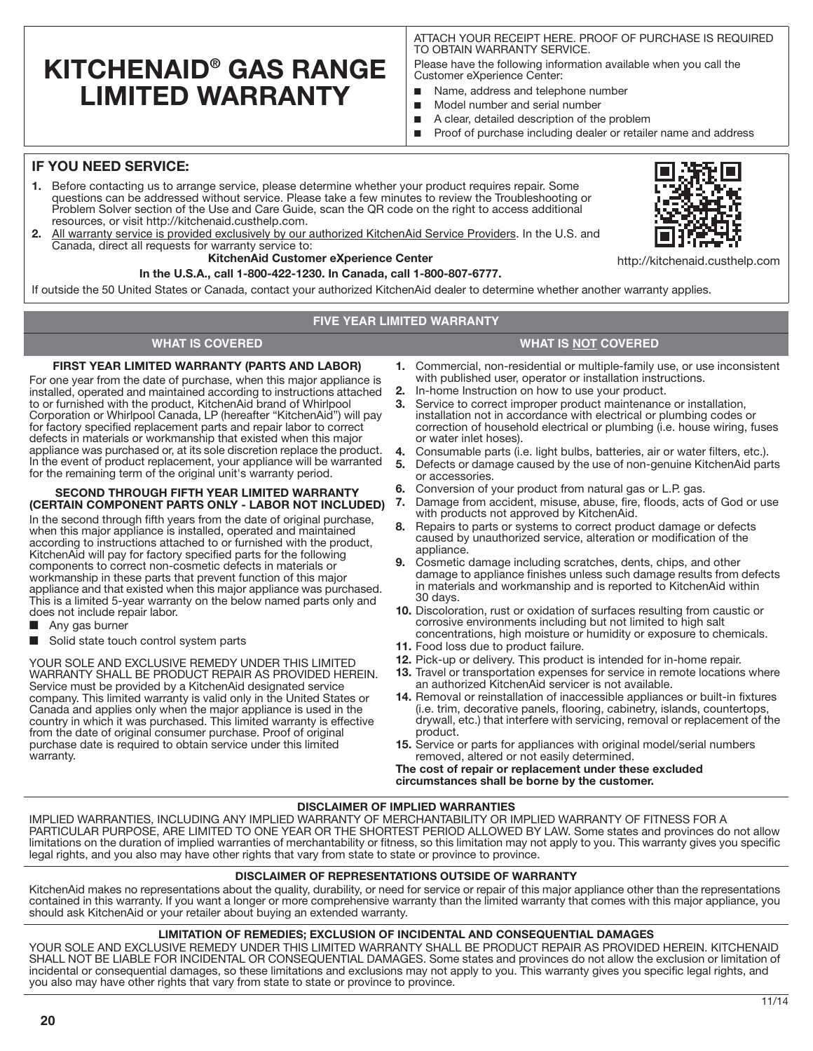# **KITCHENAID® GAS RANGE LIMITED WARRANTY**

ATTACH YOUR RECEIPT HERE. PROOF OF PURCHASE IS REQUIRED TO OBTAIN WARRANTY SERVICE.

Please have the following information available when you call the Customer eXperience Center:

- Name, address and telephone number
- Model number and serial number
- A clear, detailed description of the problem
- Proof of purchase including dealer or retailer name and address

# **IF YOU NEED SERVICE:**

- **1.** Before contacting us to arrange service, please determine whether your product requires repair. Some questions can be addressed without service. Please take a few minutes to review the Troubleshooting or Problem Solver section of the Use and Care Guide, scan the QR code on the right to access additional resources, or visit http://kitchenaid.custhelp.com.
- **2.** All warranty service is provided exclusively by our authorized KitchenAid Service Providers. In the U.S. and Canada, direct all requests for warranty service to:

### **KitchenAid Customer eXperience Center**

**In the U.S.A., call 1-800-422-1230. In Canada, call 1-800-807-6777.**

If outside the 50 United States or Canada, contact your authorized KitchenAid dealer to determine whether another warranty applies.

## **FIVE YEAR LIMITED WARRANTY**

# **WHAT IS COVERED WHAT IS NOT COVERED**

#### **FIRST YEAR LIMITED WARRANTY (PARTS AND LABOR)**

For one year from the date of purchase, when this major appliance is installed, operated and maintained according to instructions attached to or furnished with the product, KitchenAid brand of Whirlpool Corporation or Whirlpool Canada, LP (hereafter "KitchenAid") will pay for factory specified replacement parts and repair labor to correct defects in materials or workmanship that existed when this major appliance was purchased or, at its sole discretion replace the product. In the event of product replacement, your appliance will be warranted for the remaining term of the original unit's warranty period.

# **SECOND THROUGH FIFTH YEAR LIMITED WARRANTY (CERTAIN COMPONENT PARTS ONLY - LABOR NOT INCLUDED)**

In the second through fifth years from the date of original purchase, when this major appliance is installed, operated and maintained according to instructions attached to or furnished with the product, KitchenAid will pay for factory specified parts for the following components to correct non-cosmetic defects in materials or workmanship in these parts that prevent function of this major appliance and that existed when this major appliance was purchased. This is a limited 5-year warranty on the below named parts only and does not include repair labor.

- Any gas burner
- Solid state touch control system parts

YOUR SOLE AND EXCLUSIVE REMEDY UNDER THIS LIMITED WARRANTY SHALL BE PRODUCT REPAIR AS PROVIDED HEREIN. Service must be provided by a KitchenAid designated service company. This limited warranty is valid only in the United States or Canada and applies only when the major appliance is used in the country in which it was purchased. This limited warranty is effective from the date of original consumer purchase. Proof of original purchase date is required to obtain service under this limited warranty.

- **1.** Commercial, non-residential or multiple-family use, or use inconsistent with published user, operator or installation instructions.
- **2.** In-home Instruction on how to use your product.
- **3.** Service to correct improper product maintenance or installation, installation not in accordance with electrical or plumbing codes or correction of household electrical or plumbing (i.e. house wiring, fuses or water inlet hoses).
- **4.** Consumable parts (i.e. light bulbs, batteries, air or water filters, etc.).<br>**5.** Defects or damage caused by the use of non-genuine KitchenAid par
- **5.** Defects or damage caused by the use of non-genuine KitchenAid parts or accessories.
- **6.** Conversion of your product from natural gas or L.P. gas.
- **7.** Damage from accident, misuse, abuse, fire, floods, acts of God or use with products not approved by KitchenAid.
- **8.** Repairs to parts or systems to correct product damage or defects caused by unauthorized service, alteration or modification of the appliance.
- **9.** Cosmetic damage including scratches, dents, chips, and other damage to appliance finishes unless such damage results from defects in materials and workmanship and is reported to KitchenAid within 30 days.
- **10.** Discoloration, rust or oxidation of surfaces resulting from caustic or corrosive environments including but not limited to high salt concentrations, high moisture or humidity or exposure to chemicals.
- **11.** Food loss due to product failure.
- **12.** Pick-up or delivery. This product is intended for in-home repair.
- **13.** Travel or transportation expenses for service in remote locations where an authorized KitchenAid servicer is not available.
- **14.** Removal or reinstallation of inaccessible appliances or built-in fixtures (i.e. trim, decorative panels, flooring, cabinetry, islands, countertops, drywall, etc.) that interfere with servicing, removal or replacement of the product.
- **15.** Service or parts for appliances with original model/serial numbers removed, altered or not easily determined.

**The cost of repair or replacement under these excluded circumstances shall be borne by the customer.** 

#### **DISCLAIMER OF IMPLIED WARRANTIES**

IMPLIED WARRANTIES, INCLUDING ANY IMPLIED WARRANTY OF MERCHANTABILITY OR IMPLIED WARRANTY OF FITNESS FOR A PARTICULAR PURPOSE, ARE LIMITED TO ONE YEAR OR THE SHORTEST PERIOD ALLOWED BY LAW. Some states and provinces do not allow limitations on the duration of implied warranties of merchantability or fitness, so this limitation may not apply to you. This warranty gives you specific legal rights, and you also may have other rights that vary from state to state or province to province.

#### **DISCLAIMER OF REPRESENTATIONS OUTSIDE OF WARRANTY**

KitchenAid makes no representations about the quality, durability, or need for service or repair of this major appliance other than the representations contained in this warranty. If you want a longer or more comprehensive warranty than the limited warranty that comes with this major appliance, you should ask KitchenAid or your retailer about buying an extended warranty.

#### **LIMITATION OF REMEDIES; EXCLUSION OF INCIDENTAL AND CONSEQUENTIAL DAMAGES**

YOUR SOLE AND EXCLUSIVE REMEDY UNDER THIS LIMITED WARRANTY SHALL BE PRODUCT REPAIR AS PROVIDED HEREIN. KITCHENAID SHALL NOT BE LIABLE FOR INCIDENTAL OR CONSEQUENTIAL DAMAGES. Some states and provinces do not allow the exclusion or limitation of incidental or consequential damages, so these limitations and exclusions may not apply to you. This warranty gives you specific legal rights, and you also may have other rights that vary from state to state or province to province.



**20**

http://kitchenaid.custhelp.com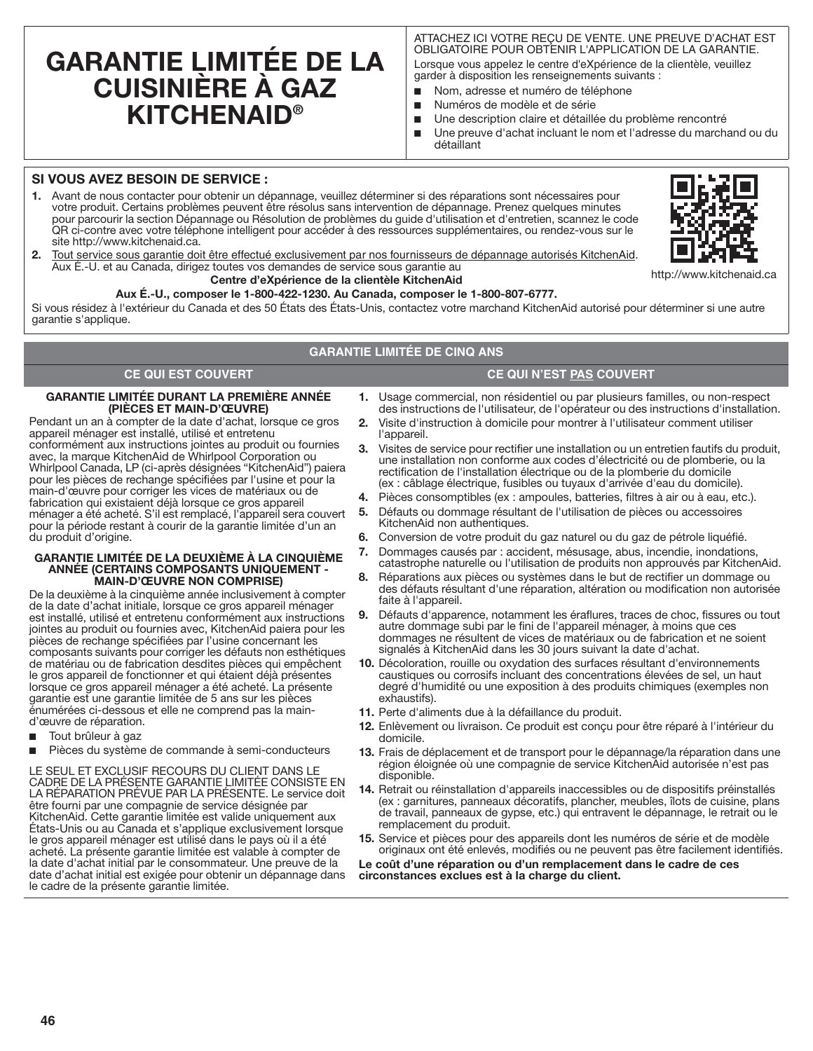# **GARANTIE LIMITÉE DE LA CUISINIÈRE À GAZ KITCHENAID®**

ATTACHEZ ICI VOTRE REÇU DE VENTE. UNE PREUVE D'ACHAT EST OBLIGATOIRE POUR OBTENIR L'APPLICATION DE LA GARANTIE. Lorsque vous appelez le centre d'eXpérience de la clientèle, veuillez

- garder à disposition les renseignements suivants : ■ Nom, adresse et numéro de téléphone
- Numéros de modèle et de série
- Une description claire et détaillée du problème rencontré
- Une preuve d'achat incluant le nom et l'adresse du marchand ou du détaillant

#### **SI VOUS AVEZ BESOIN DE SERVICE :**

**1.** Avant de nous contacter pour obtenir un dépannage, veuillez déterminer si des réparations sont nécessaires pour votre produit. Certains problèmes peuvent être résolus sans intervention de dépannage. Prenez quelques minutes pour parcourir la section Dépannage ou Résolution de problèmes du guide d'utilisation et d'entretien, scannez le code QR ci-contre avec votre téléphone intelligent pour accéder à des ressources supplémentaires, ou rendez-vous sur le site http://www.kitchenaid.ca.



**2.** Tout service sous garantie doit être effectué exclusivement par nos fournisseurs de dépannage autorisés KitchenAid. Aux É.-U. et au Canada, dirigez toutes vos demandes de service sous garantie au

## **Centre d'eXpérience de la clientèle KitchenAid**

http://www.kitchenaid.ca

#### **Aux É.-U., composer le 1-800-422-1230. Au Canada, composer le 1-800-807-6777.**

Si vous résidez à l'extérieur du Canada et des 50 États des États-Unis, contactez votre marchand KitchenAid autorisé pour déterminer si une autre garantie s'applique.

## **GARANTIE LIMITÉE DE CINQ ANS**

## **CE QUI EST COUVERT CE QUI N'EST PAS COUVERT**

#### **GARANTIE LIMITÉE DURANT LA PREMIÈRE ANNÉE (PIÈCES ET MAIN-D'ŒUVRE)**

Pendant un an à compter de la date d'achat, lorsque ce gros appareil ménager est installé, utilisé et entretenu conformément aux instructions jointes au produit ou fournies avec, la marque KitchenAid de Whirlpool Corporation ou Whirlpool Canada, LP (ci-après désignées "KitchenAid") paiera pour les pièces de rechange spécifiées par l'usine et pour la main-d'œuvre pour corriger les vices de matériaux ou de fabrication qui existaient déjà lorsque ce gros appareil ménager a été acheté. S'il est remplacé, l'appareil sera couvert pour la période restant à courir de la garantie limitée d'un an du produit d'origine.

#### **GARANTIE LIMITÉE DE LA DEUXIÈME À LA CINQUIÈME ANNÉE (CERTAINS COMPOSANTS UNIQUEMENT - MAIN-D'ŒUVRE NON COMPRISE)**

De la deuxième à la cinquième année inclusivement à compter de la date d'achat initiale, lorsque ce gros appareil ménager est installé, utilisé et entretenu conformément aux instructions jointes au produit ou fournies avec, KitchenAid paiera pour les pièces de rechange spécifiées par l'usine concernant les composants suivants pour corriger les défauts non esthétiques de matériau ou de fabrication desdites pièces qui empêchent le gros appareil de fonctionner et qui étaient déjà présentes lorsque ce gros appareil ménager a été acheté. La présente garantie est une garantie limitée de 5 ans sur les pièces énumérées ci-dessous et elle ne comprend pas la maind'œuvre de réparation.

- Tout brûleur à gaz
- Pièces du système de commande à semi-conducteurs

LE SEUL ET EXCLUSIF RECOURS DU CLIENT DANS LE CADRE DE LA PRÉSENTE GARANTIE LIMITÉE CONSISTE EN LA RÉPARATION PRÉVUE PAR LA PRÉSENTE. Le service doit être fourni par une compagnie de service désignée par KitchenAid. Cette garantie limitée est valide uniquement aux États-Unis ou au Canada et s'applique exclusivement lorsque le gros appareil ménager est utilisé dans le pays où il a été acheté. La présente garantie limitée est valable à compter de la date d'achat initial par le consommateur. Une preuve de la date d'achat initial est exigée pour obtenir un dépannage dans le cadre de la présente garantie limitée.

- **1.** Usage commercial, non résidentiel ou par plusieurs familles, ou non-respect des instructions de l'utilisateur, de l'opérateur ou des instructions d'installation.
- **2.** Visite d'instruction à domicile pour montrer à l'utilisateur comment utiliser l'appareil.
- **3.** Visites de service pour rectifier une installation ou un entretien fautifs du produit, une installation non conforme aux codes d'électricité ou de plomberie, ou la rectification de l'installation électrique ou de la plomberie du domicile (ex : câblage électrique, fusibles ou tuyaux d'arrivée d'eau du domicile).
- **4.** Pièces consomptibles (ex : ampoules, batteries, filtres à air ou à eau, etc.).
- **5.** Défauts ou dommage résultant de l'utilisation de pièces ou accessoires KitchenAid non authentiques.
- **6.** Conversion de votre produit du gaz naturel ou du gaz de pétrole liquéfié.
- **7.** Dommages causés par : accident, mésusage, abus, incendie, inondations, catastrophe naturelle ou l'utilisation de produits non approuvés par KitchenAid.
- **8.** Réparations aux pièces ou systèmes dans le but de rectifier un dommage ou des défauts résultant d'une réparation, altération ou modification non autorisée faite à l'appareil.
- **9.** Défauts d'apparence, notamment les éraflures, traces de choc, fissures ou tout autre dommage subi par le fini de l'appareil ménager, à moins que ces dommages ne résultent de vices de matériaux ou de fabrication et ne soient signalés à KitchenAid dans les 30 jours suivant la date d'achat.
- **10.** Décoloration, rouille ou oxydation des surfaces résultant d'environnements caustiques ou corrosifs incluant des concentrations élevées de sel, un haut degré d'humidité ou une exposition à des produits chimiques (exemples non exhaustifs).
- **11.** Perte d'aliments due à la défaillance du produit.
- **12.** Enlèvement ou livraison. Ce produit est conçu pour être réparé à l'intérieur du domicile.
- **13.** Frais de déplacement et de transport pour le dépannage/la réparation dans une région éloignée où une compagnie de service KitchenAid autorisée n'est pas disponible.
- **14.** Retrait ou réinstallation d'appareils inaccessibles ou de dispositifs préinstallés (ex : garnitures, panneaux décoratifs, plancher, meubles, îlots de cuisine, plans de travail, panneaux de gypse, etc.) qui entravent le dépannage, le retrait ou le remplacement du produit.
- **15.** Service et pièces pour des appareils dont les numéros de série et de modèle originaux ont été enlevés, modifiés ou ne peuvent pas être facilement identifiés.

**Le coût d'une réparation ou d'un remplacement dans le cadre de ces circonstances exclues est à la charge du client.**